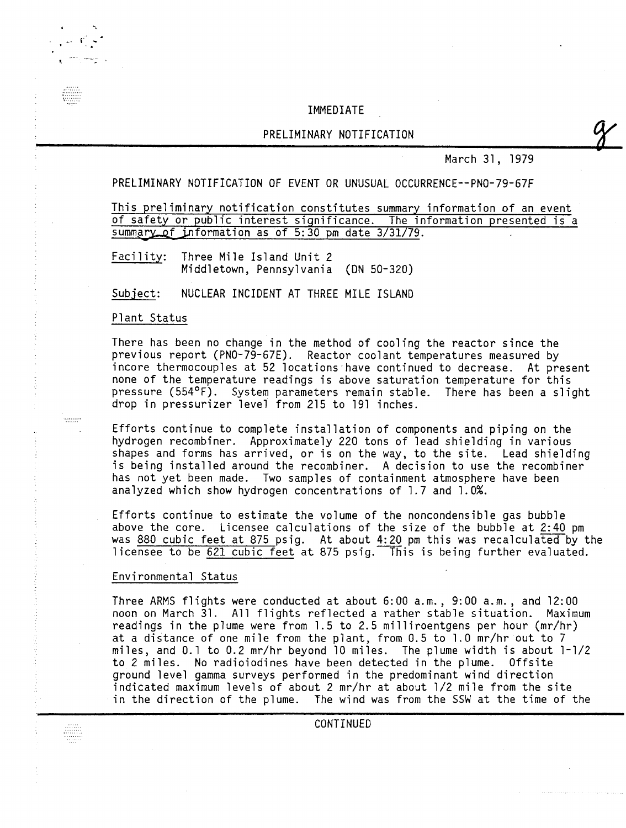## IMMEDIATE

## PRELIMINARY NOTIFICATION

March 31, 1979

PRELIMINARY NOTIFICATION OF EVENT OR UNUSUAL OCCURRENCE--PNO-79-67F

This preliminary notification constitutes summary information of an event of safety or public interest significance. The information presented is a summary of information as of 5:30 pm date 3/31/79.

Facility: Three Mile Island Unit 2 Middletown, Pennsylvania (ON 50-320)

Subject: NUCLEAR INCIDENT AT THREE MILE ISLAND

Plant Status

reederi

**---------4-**

There has been no change in the method of cooling the reactor since the previous report (PNO-79-67E). Reactor coolant temperatures measured by incore thermocouples at 52 locations'have continued to decrease. At present none of the temperature readings is above saturation temperature for this pressure (554°F). System parameters remain stable. There has been a slight drop in pressurizer level from 215 to 191 inches.

Efforts continue to complete installation of components and piping on the hydrogen recombiner. Approximately 220 tons of lead shielding in various shapes and forms has arrived, or is on the way, to the site. Lead shielding is being installed around the recombiner. A decision to use the recombiner has not yet been made. Two samples of containment atmosphere have been analyzed which show hydrogen concentrations of 1.7 and 1.0%.

Efforts continue to estimate the volume of the noncondensib1e gas bubble above the core. Licensee calculations of the size of the bubble at 2:40 pm was 880 cubic feet at 875 psig. At about 4:20 pm this was recalculated by the licensee to be <u>621 cubic feet</u> at 875 psig. This is being further evaluated.

#### Environmental Status

Three ARMS flights were conducted at about 6:00 a.m., 9:00 a.m., and 12:00 noon on March 31. All flights reflected a rather stable situation. Maximum readings in the plume were from 1.5 to 2.5 milliroentgens per hour (mr/hr) at a distance of one mile from the plant, from 0.5 to 1.0 mr/hr out to 7 miles, and 0.1 to 0.2 mr/hr beyond 10 miles. The plume width is about 1-1/2 to 2 miles. No radioiodines have been detected in the plume. Offsite ground level gamma surveys performed in the predominant wind direction indicated maximum levels of about 2 mr/hr at about 1/2 mile from the site<br>in the direction of the plume. The wind was from the SSW at the time of t The wind was from the SSW at the time of the

CONTINUED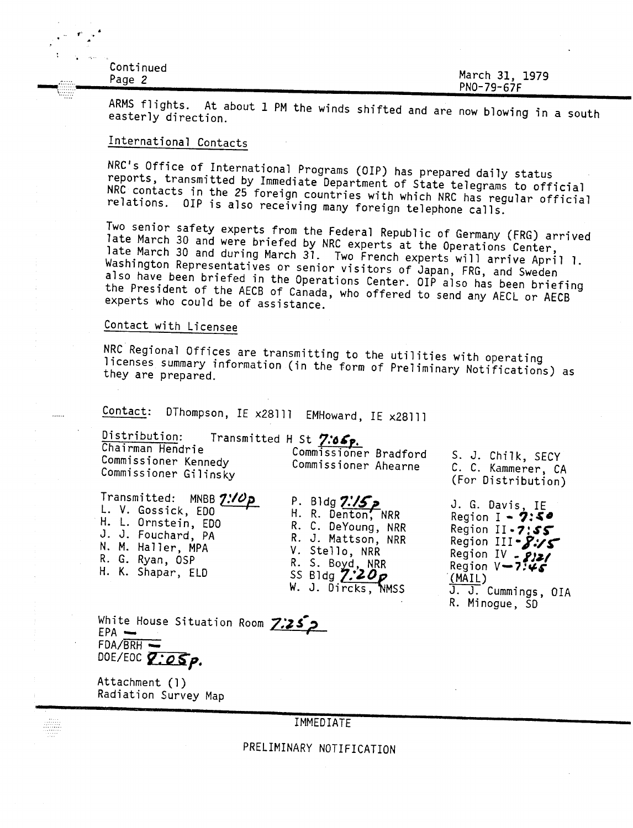| the company |                |
|-------------|----------------|
| Continued   |                |
|             | March 31, 1979 |
| Page 2      |                |
|             | PN0-79-67F     |
|             |                |

ARMS flights. At about 1 PM the winds shifted and are now blowing in a south easterly direction.

# International Contacts

NRC's Office of International Programs (OIP) has prepared daily status reports, transmitted by Immediate Department of State telegrams to official NRC contacts in the 25 foreign countries with which NRC has regular official relations. OIP is also receiving many foreign telephone calls.

Two senior safety experts from the Federal Republic of Germany (FRG) arrived late March 30 and were briefed by NRC experts at the Operations Center, late March 30 and during March 31. Two French experts will arrive April 1. Washington Representatives or senior visitors of Japan, FRG, and Sweden also have been briefed in the Operations Center. OIP also has been briefing the President of the AECB of Canada, who offered to send any AECL or AECB experts who could be of assistance.

## Contact with Licensee

NRC Regional Offices are transmitting to the utilities with operating licenses summary information (in the form of Preliminary Notifications) as they are prepared.

> P. B1dg **7:/5'***p*  $H. R.$  Denton,  $N_R$ R. C. DeYoung, NRR R. J. Mattson, NRR V. Stello, NRR **R. S. Boyd, NRR**<br>SS Bldg **7:2***0 <del>o</del>*  $U.$  J. Dircks, NMSS

DThompson, IE x28111 EMHoward, IE x28111 Contact:

Distribution: Chairman Hendrie Commissioner Kennedy Commissioner Gilinsky

Transmitted: MNBB *7:/0p*

L. V. Gossick, EDO ' H. L. Ornstein, EDO J. J. Fouchard, PA N. M. Haller, MPA R. G. Ryan, OSP H. K. Shapar, ELD

Transmitted H St 7:06p. Commissioner Bradford Commissioner Ahearne

S. J. Chilk, SECY C. C. Kammerer, CA (For Distribution)

**J. G. Davis, IE**<br>Region **I = 2:5** Region **I - 7:50**<br>Region **II** - 7:55 Region  $III - 8.75$ Region III**-2.**<br>Region IV **-2.** Region IV **- 212**<br>Region V**-7:***1*  $(MAIL)$ ~ Cummings, *OIA* R. Minogue, SO

White House Situation Room 7:252 FDA/BRH-DOE/EOC **2:05p.** 

Attachment (l) Radiation *Survey* Map

IMMEDIATE

PRELIMINARY NOTIFICATION